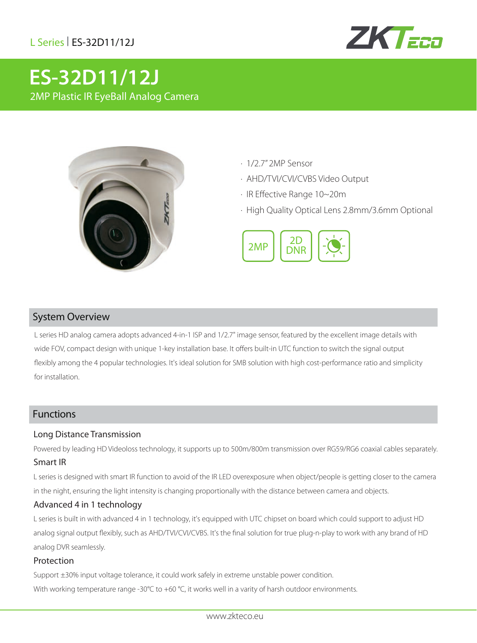# L Series| ES-32D11/12J



# **ES-32D11/12J** 2MP Plastic IR EyeBall Analog Camera



- · 1/2.7" 2MP Sensor
- · AHD/TVI/CVI/CVBS Video Output
- · IR Effective Range 10~20m
- · High Quality Optical Lens 2.8mm/3.6mm Optional



### System Overview

L series HD analog camera adopts advanced 4-in-1 ISP and 1/2.7" image sensor, featured by the excellent image details with wide FOV, compact design with unique 1-key installation base. It offers built-in UTC function to switch the signal output flexibly among the 4 popular technologies. It's ideal solution for SMB solution with high cost-performance ratio and simplicity for installation.

### Functions

#### Long Distance Transmission

Powered by leading HD Videoloss technology, it supports up to 500m/800m transmission over RG59/RG6 coaxial cables separately.

## Smart IR

L series is designed with smart IR function to avoid of the IR LED overexposure when object/people is getting closer to the camera in the night, ensuring the light intensity is changing proportionally with the distance between camera and objects.

#### Advanced 4 in 1 technology

L series is built in with advanced 4 in 1 technology, it's equipped with UTC chipset on board which could support to adjust HD analog signal output flexibly, such as AHD/TVI/CVI/CVBS. It's the final solution for true plug-n-play to work with any brand of HD analog DVR seamlessly.

#### Protection

Support ±30% input voltage tolerance, it could work safely in extreme unstable power condition. With working temperature range -30 $^{\circ}$ C to +60  $^{\circ}$ C, it works well in a varity of harsh outdoor environments.